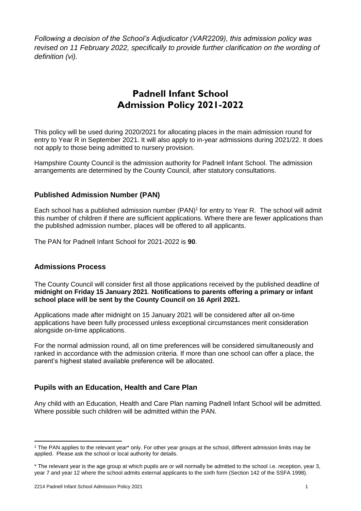*Following a decision of the School's Adjudicator (VAR2209), this admission policy was revised on 11 February 2022, specifically to provide further clarification on the wording of definition (vi).*

# **Padnell Infant School Admission Policy 2021-2022**

This policy will be used during 2020/2021 for allocating places in the main admission round for entry to Year R in September 2021. It will also apply to in-year admissions during 2021/22. It does not apply to those being admitted to nursery provision.

Hampshire County Council is the admission authority for Padnell Infant School. The admission arrangements are determined by the County Council, after statutory consultations.

### **Published Admission Number (PAN)**

Each school has a published admission number (PAN)<sup>1</sup> for entry to Year R. The school will admit this number of children if there are sufficient applications. Where there are fewer applications than the published admission number, places will be offered to all applicants.

The PAN for Padnell Infant School for 2021-2022 is **90**.

#### **Admissions Process**

The County Council will consider first all those applications received by the published deadline of **midnight on Friday 15 January 2021**. **Notifications to parents offering a primary or infant school place will be sent by the County Council on 16 April 2021.**

Applications made after midnight on 15 January 2021 will be considered after all on-time applications have been fully processed unless exceptional circumstances merit consideration alongside on-time applications.

For the normal admission round, all on time preferences will be considered simultaneously and ranked in accordance with the admission criteria. If more than one school can offer a place, the parent's highest stated available preference will be allocated.

### **Pupils with an Education, Health and Care Plan**

Any child with an Education, Health and Care Plan naming Padnell Infant School will be admitted. Where possible such children will be admitted within the PAN.

**.** 

<sup>1</sup> The PAN applies to the relevant year\* only. For other year groups at the school, different admission limits may be applied. Please ask the school or local authority for details.

<sup>\*</sup> The relevant year is the age group at which pupils are or will normally be admitted to the school i.e. reception, year 3, year 7 and year 12 where the school admits external applicants to the sixth form (Section 142 of the SSFA 1998).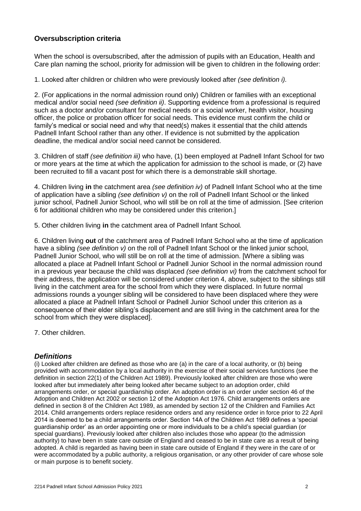### **Oversubscription criteria**

When the school is oversubscribed, after the admission of pupils with an Education, Health and Care plan naming the school, priority for admission will be given to children in the following order:

1. Looked after children or children who were previously looked after *(see definition i).* 

2. (For applications in the normal admission round only) Children or families with an exceptional medical and/or social need *(see definition ii)*. Supporting evidence from a professional is required such as a doctor and/or consultant for medical needs or a social worker, health visitor, housing officer, the police or probation officer for social needs. This evidence must confirm the child or family's medical or social need and why that need(s) makes it essential that the child attends Padnell Infant School rather than any other. If evidence is not submitted by the application deadline, the medical and/or social need cannot be considered.

3. Children of staff *(see definition iii)* who have, (1) been employed at Padnell Infant School for two or more years at the time at which the application for admission to the school is made, or (2) have been recruited to fill a vacant post for which there is a demonstrable skill shortage.

4. Children living **in** the catchment area *(see definition iv)* of Padnell Infant School who at the time of application have a sibling *(see definition v)* on the roll of Padnell Infant School or the linked junior school, Padnell Junior School, who will still be on roll at the time of admission. [See criterion 6 for additional children who may be considered under this criterion.]

5. Other children living **in** the catchment area of Padnell Infant School*.*

6. Children living **out** of the catchment area of Padnell Infant School who at the time of application have a sibling *(see definition v)* on the roll of Padnell Infant School or the linked junior school, Padnell Junior School, who will still be on roll at the time of admission. [Where a sibling was allocated a place at Padnell Infant School or Padnell Junior School in the normal admission round in a previous year because the child was displaced *(see definition vi)* from the catchment school for their address, the application will be considered under criterion 4, above, subject to the siblings still living in the catchment area for the school from which they were displaced. In future normal admissions rounds a younger sibling will be considered to have been displaced where they were allocated a place at Padnell Infant School or Padnell Junior School under this criterion as a consequence of their elder sibling's displacement and are still living in the catchment area for the school from which they were displaced].

7. Other children.

### *Definitions*

(i) Looked after children are defined as those who are (a) in the care of a local authority, or (b) being provided with accommodation by a local authority in the exercise of their social services functions (see the definition in section 22(1) of the Children Act 1989). Previously looked after children are those who were looked after but immediately after being looked after became subject to an adoption order, child arrangements order, or special guardianship order. An adoption order is an order under section 46 of the Adoption and Children Act 2002 or section 12 of the Adoption Act 1976. Child arrangements orders are defined in section 8 of the Children Act 1989, as amended by section 12 of the Children and Families Act 2014. Child arrangements orders replace residence orders and any residence order in force prior to 22 April 2014 is deemed to be a child arrangements order. Section 14A of the Children Act 1989 defines a 'special guardianship order' as an order appointing one or more individuals to be a child's special guardian (or special guardians). Previously looked after children also includes those who appear (to the admission authority) to have been in state care outside of England and ceased to be in state care as a result of being adopted. A child is regarded as having been in state care outside of England if they were in the care of or were accommodated by a public authority, a religious organisation, or any other provider of care whose sole or main purpose is to benefit society.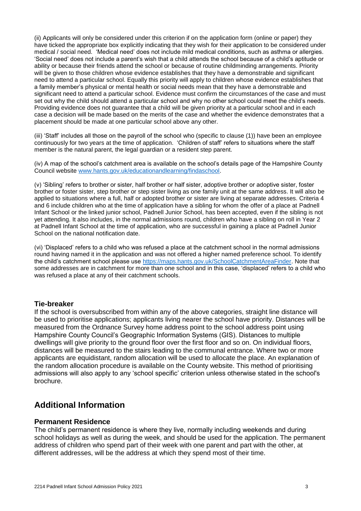(ii) Applicants will only be considered under this criterion if on the application form (online or paper) they have ticked the appropriate box explicitly indicating that they wish for their application to be considered under medical / social need. 'Medical need' does not include mild medical conditions, such as asthma or allergies. 'Social need' does not include a parent's wish that a child attends the school because of a child's aptitude or ability or because their friends attend the school or because of routine childminding arrangements. Priority will be given to those children whose evidence establishes that they have a demonstrable and significant need to attend a particular school. Equally this priority will apply to children whose evidence establishes that a family member's physical or mental health or social needs mean that they have a demonstrable and significant need to attend a particular school. Evidence must confirm the circumstances of the case and must set out why the child should attend a particular school and why no other school could meet the child's needs. Providing evidence does not guarantee that a child will be given priority at a particular school and in each case a decision will be made based on the merits of the case and whether the evidence demonstrates that a placement should be made at one particular school above any other.

(iii) 'Staff' includes all those on the payroll of the school who (specific to clause (1)) have been an employee continuously for two years at the time of application. 'Children of staff' refers to situations where the staff member is the natural parent, the legal guardian or a resident step parent.

(iv) A map of the school's catchment area is available on the school's details page of the Hampshire County Council website [www.hants.gov.uk/educationandlearning/findaschool.](http://www.hants.gov.uk/educationandlearning/findaschool)

(v) 'Sibling' refers to brother or sister, half brother or half sister, adoptive brother or adoptive sister, foster brother or foster sister, step brother or step sister living as one family unit at the same address. It will also be applied to situations where a full, half or adopted brother or sister are living at separate addresses. Criteria 4 and 6 include children who at the time of application have a sibling for whom the offer of a place at Padnell Infant School or the linked junior school, Padnell Junior School, has been accepted, even if the sibling is not yet attending. It also includes, in the normal admissions round, children who have a sibling on roll in Year 2 at Padnell Infant School at the time of application, who are successful in gaining a place at Padnell Junior School on the national notification date.

(vi) 'Displaced' refers to a child who was refused a place at the catchment school in the normal admissions round having named it in the application and was not offered a higher named preference school. To identify the child's catchment school please use [https://maps.hants.gov.uk/SchoolCatchmentAreaFinder.](https://maps.hants.gov.uk/SchoolCatchmentAreaFinder/) Note that some addresses are in catchment for more than one school and in this case, 'displaced' refers to a child who was refused a place at any of their catchment schools.

#### **Tie-breaker**

If the school is oversubscribed from within any of the above categories, straight line distance will be used to prioritise applications; applicants living nearer the school have priority. Distances will be measured from the Ordnance Survey home address point to the school address point using Hampshire County Council's Geographic Information Systems (GIS). Distances to multiple dwellings will give priority to the ground floor over the first floor and so on. On individual floors, distances will be measured to the stairs leading to the communal entrance. Where two or more applicants are equidistant, random allocation will be used to allocate the place. An explanation of the random allocation procedure is available on the County website. This method of prioritising admissions will also apply to any 'school specific' criterion unless otherwise stated in the school's brochure.

## **Additional Information**

#### **Permanent Residence**

The child's permanent residence is where they live, normally including weekends and during school holidays as well as during the week, and should be used for the application. The permanent address of children who spend part of their week with one parent and part with the other, at different addresses, will be the address at which they spend most of their time.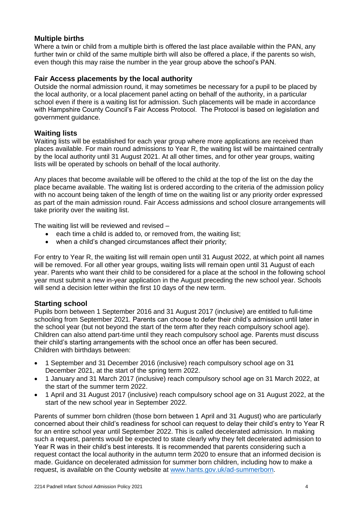### **Multiple births**

Where a twin or child from a multiple birth is offered the last place available within the PAN, any further twin or child of the same multiple birth will also be offered a place, if the parents so wish, even though this may raise the number in the year group above the school's PAN.

### **Fair Access placements by the local authority**

Outside the normal admission round, it may sometimes be necessary for a pupil to be placed by the local authority, or a local placement panel acting on behalf of the authority, in a particular school even if there is a waiting list for admission. Such placements will be made in accordance with Hampshire County Council's Fair Access Protocol. The Protocol is based on legislation and government guidance.

### **Waiting lists**

Waiting lists will be established for each year group where more applications are received than places available. For main round admissions to Year R, the waiting list will be maintained centrally by the local authority until 31 August 2021. At all other times, and for other year groups, waiting lists will be operated by schools on behalf of the local authority.

Any places that become available will be offered to the child at the top of the list on the day the place became available. The waiting list is ordered according to the criteria of the admission policy with no account being taken of the length of time on the waiting list or any priority order expressed as part of the main admission round. Fair Access admissions and school closure arrangements will take priority over the waiting list.

The waiting list will be reviewed and revised –

- each time a child is added to, or removed from, the waiting list;
- when a child's changed circumstances affect their priority;

For entry to Year R, the waiting list will remain open until 31 August 2022, at which point all names will be removed. For all other year groups, waiting lists will remain open until 31 August of each year. Parents who want their child to be considered for a place at the school in the following school year must submit a new in-year application in the August preceding the new school year. Schools will send a decision letter within the first 10 days of the new term.

### **Starting school**

Pupils born between 1 September 2016 and 31 August 2017 (inclusive) are entitled to full-time schooling from September 2021. Parents can choose to defer their child's admission until later in the school year (but not beyond the start of the term after they reach compulsory school age). Children can also attend part-time until they reach compulsory school age. Parents must discuss their child's starting arrangements with the school once an offer has been secured. Children with birthdays between:

- 1 September and 31 December 2016 (inclusive) reach compulsory school age on 31 December 2021, at the start of the spring term 2022.
- 1 January and 31 March 2017 (inclusive) reach compulsory school age on 31 March 2022, at the start of the summer term 2022.
- 1 April and 31 August 2017 (inclusive) reach compulsory school age on 31 August 2022, at the start of the new school year in September 2022.

Parents of summer born children (those born between 1 April and 31 August) who are particularly concerned about their child's readiness for school can request to delay their child's entry to Year R for an entire school year until September 2022. This is called decelerated admission. In making such a request, parents would be expected to state clearly why they felt decelerated admission to Year R was in their child's best interests. It is recommended that parents considering such a request contact the local authority in the autumn term 2020 to ensure that an informed decision is made. Guidance on decelerated admission for summer born children, including how to make a request, is available on the County website at [www.hants.gov.uk/ad-summerborn.](http://www.hants.gov.uk/ad-summerborn)